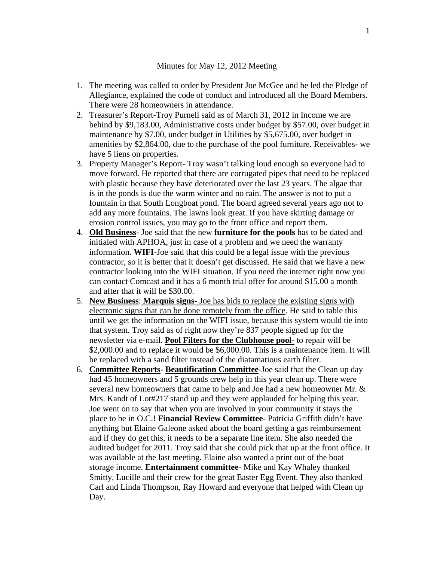## Minutes for May 12, 2012 Meeting

- 1. The meeting was called to order by President Joe McGee and he led the Pledge of Allegiance, explained the code of conduct and introduced all the Board Members. There were 28 homeowners in attendance.
- 2. Treasurer's Report-Troy Purnell said as of March 31, 2012 in Income we are behind by \$9,183.00, Administrative costs under budget by \$57.00, over budget in maintenance by \$7.00, under budget in Utilities by \$5,675.00, over budget in amenities by \$2,864.00, due to the purchase of the pool furniture. Receivables- we have 5 liens on properties.
- 3. Property Manager's Report- Troy wasn't talking loud enough so everyone had to move forward. He reported that there are corrugated pipes that need to be replaced with plastic because they have deteriorated over the last 23 years. The algae that is in the ponds is due the warm winter and no rain. The answer is not to put a fountain in that South Longboat pond. The board agreed several years ago not to add any more fountains. The lawns look great. If you have skirting damage or erosion control issues, you may go to the front office and report them.
- 4. **Old Business** Joe said that the new **furniture for the pools** has to be dated and initialed with APHOA, just in case of a problem and we need the warranty information. **WIFI-**Joe said that this could be a legal issue with the previous contractor, so it is better that it doesn't get discussed. He said that we have a new contractor looking into the WIFI situation. If you need the internet right now you can contact Comcast and it has a 6 month trial offer for around \$15.00 a month and after that it will be \$30.00.
- 5. **New Business**: **Marquis signs-** Joe has bids to replace the existing signs with electronic signs that can be done remotely from the office. He said to table this until we get the information on the WIFI issue, because this system would tie into that system. Troy said as of right now they're 837 people signed up for the newsletter via e-mail. **Pool Filters for the Clubhouse pool-** to repair will be \$2,000.00 and to replace it would be \$6,000.00. This is a maintenance item. It will be replaced with a sand filter instead of the diatamatious earth filter.
- 6. **Committee Reports Beautification Committee**-Joe said that the Clean up day had 45 homeowners and 5 grounds crew help in this year clean up. There were several new homeowners that came to help and Joe had a new homeowner Mr. & Mrs. Kandt of Lot#217 stand up and they were applauded for helping this year. Joe went on to say that when you are involved in your community it stays the place to be in O.C.! **Financial Review Committee**- Patricia Griffith didn't have anything but Elaine Galeone asked about the board getting a gas reimbursement and if they do get this, it needs to be a separate line item. She also needed the audited budget for 2011. Troy said that she could pick that up at the front office. It was available at the last meeting. Elaine also wanted a print out of the boat storage income. **Entertainment committee-** Mike and Kay Whaley thanked Smitty, Lucille and their crew for the great Easter Egg Event. They also thanked Carl and Linda Thompson, Ray Howard and everyone that helped with Clean up Day.